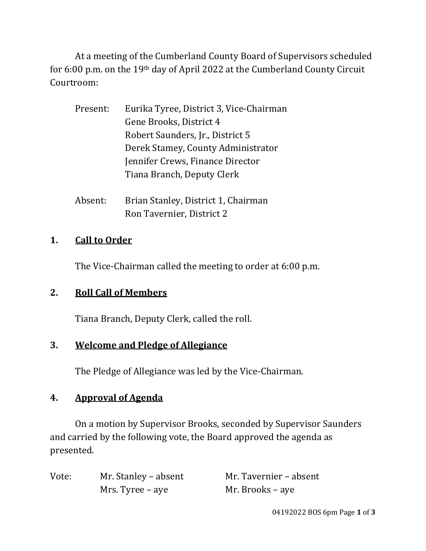At a meeting of the Cumberland County Board of Supervisors scheduled for 6:00 p.m. on the 19th day of April 2022 at the Cumberland County Circuit Courtroom:

| Present: | Eurika Tyree, District 3, Vice-Chairman |
|----------|-----------------------------------------|
|          | Gene Brooks, District 4                 |
|          | Robert Saunders, Jr., District 5        |
|          | Derek Stamey, County Administrator      |
|          | Jennifer Crews, Finance Director        |
|          | Tiana Branch, Deputy Clerk              |
|          |                                         |

 Absent: Brian Stanley, District 1, Chairman Ron Tavernier, District 2

# **1. Call to Order**

The Vice-Chairman called the meeting to order at 6:00 p.m.

# **2. Roll Call of Members**

Tiana Branch, Deputy Clerk, called the roll.

# **3. Welcome and Pledge of Allegiance**

The Pledge of Allegiance was led by the Vice-Chairman.

# **4. Approval of Agenda**

On a motion by Supervisor Brooks, seconded by Supervisor Saunders and carried by the following vote, the Board approved the agenda as presented.

| Vote: | Mr. Stanley – absent | Mr. Tavernier – absent |
|-------|----------------------|------------------------|
|       | Mrs. Tyree – aye     | Mr. Brooks – aye       |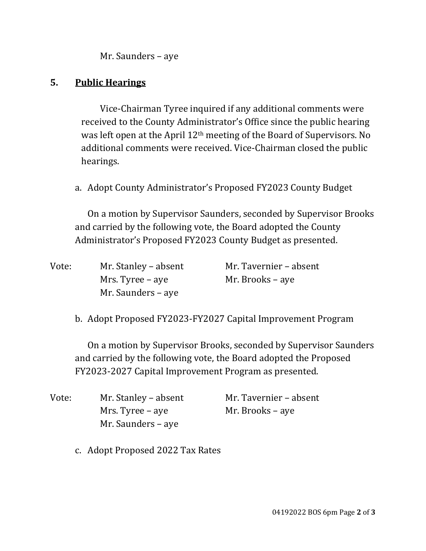Mr. Saunders – aye

### **5. Public Hearings**

 Vice-Chairman Tyree inquired if any additional comments were received to the County Administrator's Office since the public hearing was left open at the April 12th meeting of the Board of Supervisors. No additional comments were received. Vice-Chairman closed the public hearings.

a. Adopt County Administrator's Proposed FY2023 County Budget

On a motion by Supervisor Saunders, seconded by Supervisor Brooks and carried by the following vote, the Board adopted the County Administrator's Proposed FY2023 County Budget as presented.

| Vote: | Mr. Stanley – absent | Mr. Tavernier – absent |
|-------|----------------------|------------------------|
|       | Mrs. Tyree – aye     | Mr. Brooks – aye       |
|       | Mr. Saunders – aye   |                        |

b. Adopt Proposed FY2023-FY2027 Capital Improvement Program

On a motion by Supervisor Brooks, seconded by Supervisor Saunders and carried by the following vote, the Board adopted the Proposed FY2023-2027 Capital Improvement Program as presented.

| Vote: | Mr. Stanley – absent | Mr. Tavernier – absent |
|-------|----------------------|------------------------|
|       | Mrs. Tyree – aye     | Mr. Brooks – aye       |
|       | Mr. Saunders – aye   |                        |

c. Adopt Proposed 2022 Tax Rates